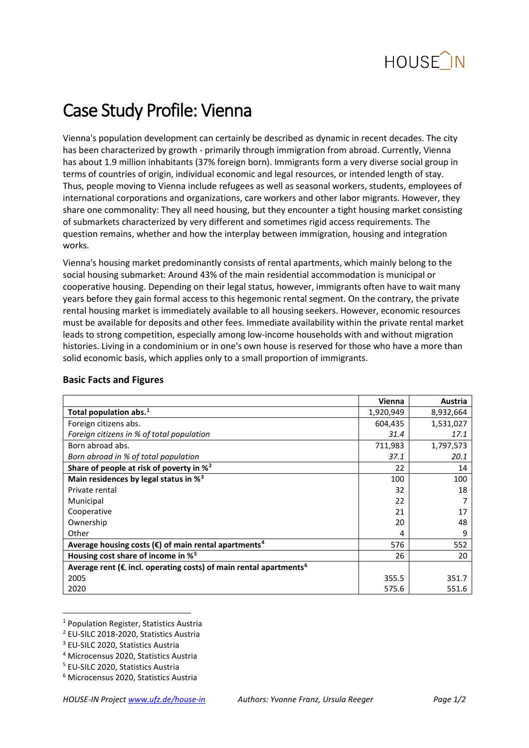

# Case Study Profile: Vienna

Vienna's population development can certainly be described as dynamic in recent decades. The city has been characterized by growth - primarily through immigration from abroad. Currently, Vienna has about 1.9 million inhabitants (37% foreign born). Immigrants form a very diverse social group in terms of countries of origin, individual economic and legal resources, or intended length of stay. Thus, people moving to Vienna include refugees as well as seasonal workers, students, employees of international corporations and organizations, care workers and other labor migrants. However, they share one commonality: They all need housing, but they encounter a tight housing market consisting of submarkets characterized by very different and sometimes rigid access requirements. The question remains, whether and how the interplay between immigration, housing and integration works.

Vienna's housing market predominantly consists of rental apartments, which mainly belong to the social housing submarket: Around 43% of the main residential accommodation is municipal or cooperative housing. Depending on their legal status, however, immigrants often have to wait many years before they gain formal access to this hegemonic rental segment. On the contrary, the private rental housing market is immediately available to all housing seekers. However, economic resources must be available for deposits and other fees. Immediate availability within the private rental market leads to strong competition, especially among low-income households with and without migration histories. Living in a condominium or in one's own house is reserved for those who have a more than solid economic basis, which applies only to a small proportion of immigrants.

|                                                                                           | Vienna    | Austria   |
|-------------------------------------------------------------------------------------------|-----------|-----------|
| Total population abs. $1$                                                                 | 1,920,949 | 8,932,664 |
| Foreign citizens abs.                                                                     | 604,435   | 1,531,027 |
| Foreign citizens in % of total population                                                 | 31.4      | 17.1      |
| Born abroad abs.                                                                          | 711,983   | 1,797,573 |
| Born abroad in % of total population                                                      | 37.1      | 20.1      |
| Share of people at risk of poverty in % <sup>2</sup>                                      | 22        | 14        |
| Main residences by legal status in % <sup>3</sup>                                         | 100       | 100       |
| Private rental                                                                            | 32        | 18        |
| Municipal                                                                                 | 22        |           |
| Cooperative                                                                               | 21        | 17        |
| Ownership                                                                                 | 20        | 48        |
| Other                                                                                     | 4         | 9         |
| Average housing costs ( $\epsilon$ ) of main rental apartments <sup>4</sup>               | 576       | 552       |
| Housing cost share of income in % <sup>5</sup>                                            | 26        | 20        |
| Average rent ( $\epsilon$ , incl. operating costs) of main rental apartments <sup>6</sup> |           |           |
| 2005                                                                                      | 355.5     | 351.7     |
| 2020                                                                                      | 575.6     | 551.6     |

### **Basic Facts and Figures**

<span id="page-0-0"></span> <sup>1</sup> Population Register, Statistics Austria

<span id="page-0-1"></span><sup>2</sup> EU-SILC 2018-2020, Statistics Austria

<span id="page-0-2"></span><sup>3</sup> EU-SILC 2020, Statistics Austria

<span id="page-0-3"></span><sup>4</sup> Microcensus 2020, Statistics Austria

<span id="page-0-4"></span><sup>5</sup> EU-SILC 2020, Statistics Austria

<span id="page-0-5"></span><sup>6</sup> Microcensus 2020, Statistics Austria